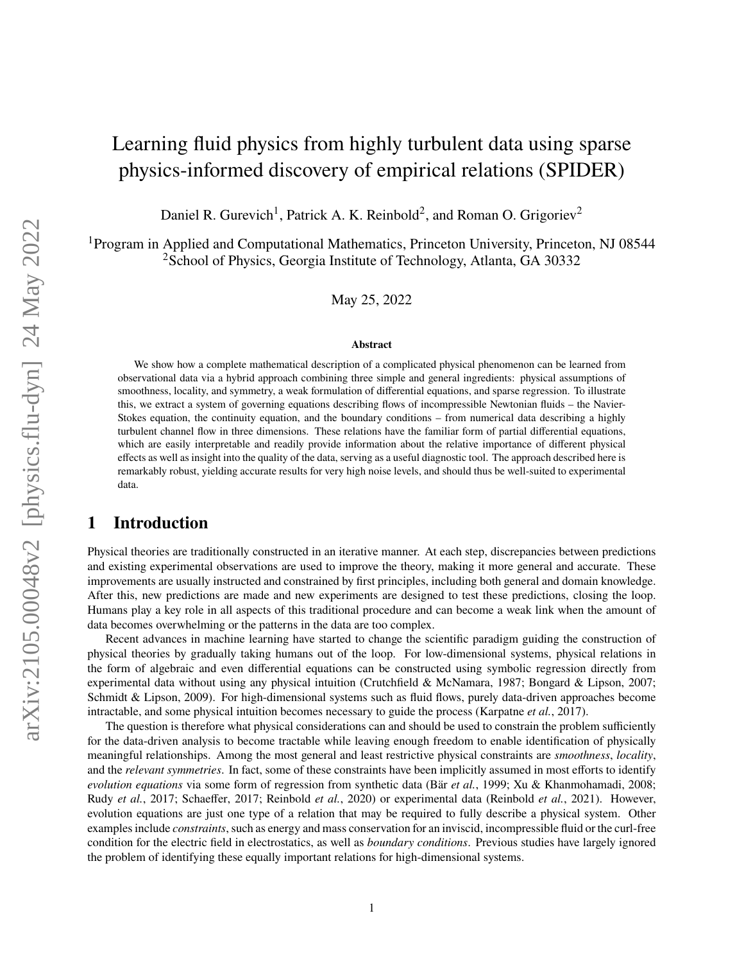# Learning fluid physics from highly turbulent data using sparse physics-informed discovery of empirical relations (SPIDER)

Daniel R. Gurevich<sup>1</sup>, Patrick A. K. Reinbold<sup>2</sup>, and Roman O. Grigoriev<sup>2</sup>

<sup>1</sup>Program in Applied and Computational Mathematics, Princeton University, Princeton, NJ 08544 <sup>2</sup>School of Physics, Georgia Institute of Technology, Atlanta, GA 30332

May 25, 2022

#### **Abstract**

We show how a complete mathematical description of a complicated physical phenomenon can be learned from observational data via a hybrid approach combining three simple and general ingredients: physical assumptions of smoothness, locality, and symmetry, a weak formulation of differential equations, and sparse regression. To illustrate this, we extract a system of governing equations describing flows of incompressible Newtonian fluids – the Navier-Stokes equation, the continuity equation, and the boundary conditions – from numerical data describing a highly turbulent channel flow in three dimensions. These relations have the familiar form of partial differential equations, which are easily interpretable and readily provide information about the relative importance of different physical effects as well as insight into the quality of the data, serving as a useful diagnostic tool. The approach described here is remarkably robust, yielding accurate results for very high noise levels, and should thus be well-suited to experimental data.

# **1 Introduction**

Physical theories are traditionally constructed in an iterative manner. At each step, discrepancies between predictions and existing experimental observations are used to improve the theory, making it more general and accurate. These improvements are usually instructed and constrained by first principles, including both general and domain knowledge. After this, new predictions are made and new experiments are designed to test these predictions, closing the loop. Humans play a key role in all aspects of this traditional procedure and can become a weak link when the amount of data becomes overwhelming or the patterns in the data are too complex.

Recent advances in machine learning have started to change the scientific paradigm guiding the construction of physical theories by gradually taking humans out of the loop. For low-dimensional systems, physical relations in the form of algebraic and even differential equations can be constructed using symbolic regression directly from experimental data without using any physical intuition [\(Crutchfield & McNamara,](#page-7-0) [1987;](#page-7-0) [Bongard & Lipson,](#page-7-1) [2007;](#page-7-1) [Schmidt & Lipson,](#page-8-0) [2009\)](#page-8-0). For high-dimensional systems such as fluid flows, purely data-driven approaches become intractable, and some physical intuition becomes necessary to guide the process [\(Karpatne](#page-7-2) *et al.*, [2017\)](#page-7-2).

The question is therefore what physical considerations can and should be used to constrain the problem sufficiently for the data-driven analysis to become tractable while leaving enough freedom to enable identification of physically meaningful relationships. Among the most general and least restrictive physical constraints are *smoothness*, *locality*, and the *relevant symmetries*. In fact, some of these constraints have been implicitly assumed in most efforts to identify *evolution equations* via some form of regression from synthetic data (Bär *[et al.](#page-7-3)*, [1999;](#page-7-3) [Xu & Khanmohamadi,](#page-8-1) [2008;](#page-8-1) Rudy *[et al.](#page-8-2)*, [2017;](#page-8-2) [Schaeffer,](#page-8-3) [2017;](#page-8-3) [Reinbold](#page-8-4) *et al.*, [2020\)](#page-8-4) or experimental data [\(Reinbold](#page-8-5) *et al.*, [2021\)](#page-8-5). However, evolution equations are just one type of a relation that may be required to fully describe a physical system. Other examples include *constraints*, such as energy and mass conservation for an inviscid, incompressible fluid or the curl-free condition for the electric field in electrostatics, as well as *boundary conditions*. Previous studies have largely ignored the problem of identifying these equally important relations for high-dimensional systems.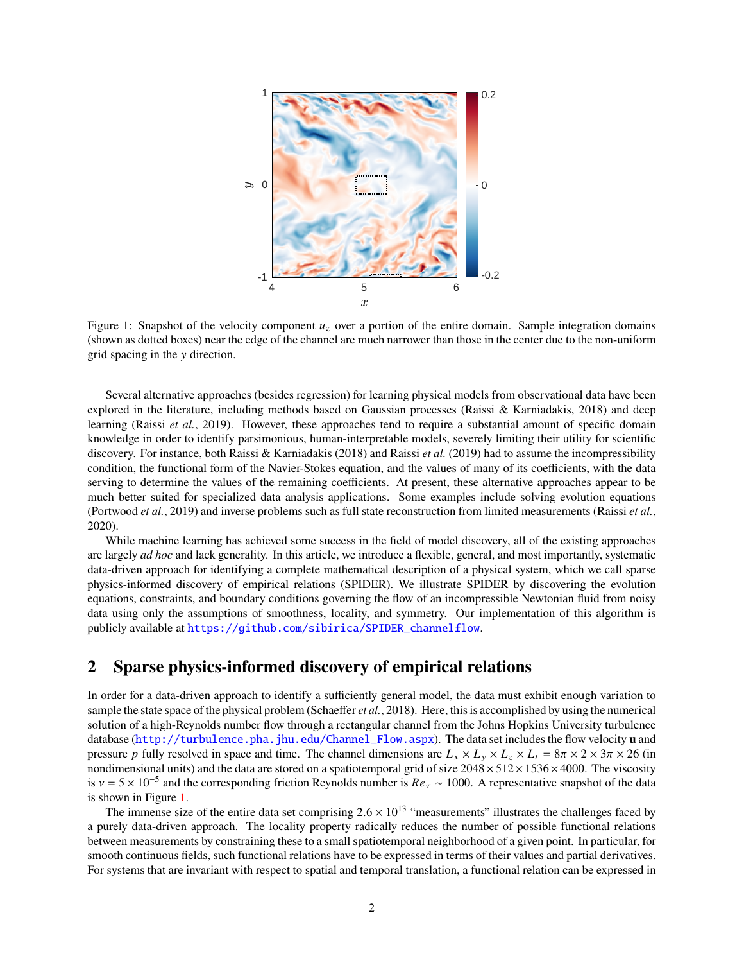<span id="page-1-0"></span>

Figure 1: Snapshot of the velocity component  $u<sub>z</sub>$  over a portion of the entire domain. Sample integration domains (shown as dotted boxes) near the edge of the channel are much narrower than those in the center due to the non-uniform grid spacing in the  $y$  direction.

Several alternative approaches (besides regression) for learning physical models from observational data have been explored in the literature, including methods based on Gaussian processes [\(Raissi & Karniadakis,](#page-8-6) [2018\)](#page-8-6) and deep learning (Raissi *[et al.](#page-8-7)*, [2019\)](#page-8-7). However, these approaches tend to require a substantial amount of specific domain knowledge in order to identify parsimonious, human-interpretable models, severely limiting their utility for scientific discovery. For instance, both [Raissi & Karniadakis](#page-8-6) [\(2018\)](#page-8-6) and [Raissi](#page-8-7) *et al.* [\(2019\)](#page-8-7) had to assume the incompressibility condition, the functional form of the Navier-Stokes equation, and the values of many of its coefficients, with the data serving to determine the values of the remaining coefficients. At present, these alternative approaches appear to be much better suited for specialized data analysis applications. Some examples include solving evolution equations [\(Portwood](#page-7-4) *et al.*, [2019\)](#page-7-4) and inverse problems such as full state reconstruction from limited measurements [\(Raissi](#page-8-8) *et al.*, [2020\)](#page-8-8).

While machine learning has achieved some success in the field of model discovery, all of the existing approaches are largely *ad hoc* and lack generality. In this article, we introduce a flexible, general, and most importantly, systematic data-driven approach for identifying a complete mathematical description of a physical system, which we call sparse physics-informed discovery of empirical relations (SPIDER). We illustrate SPIDER by discovering the evolution equations, constraints, and boundary conditions governing the flow of an incompressible Newtonian fluid from noisy data using only the assumptions of smoothness, locality, and symmetry. Our implementation of this algorithm is publicly available at [https://github.com/sibirica/SPIDER\\_channelflow](https://github.com/sibirica/SPIDER_channelflow).

# **2 Sparse physics-informed discovery of empirical relations**

In order for a data-driven approach to identify a sufficiently general model, the data must exhibit enough variation to sample the state space of the physical problem [\(Schaeffer](#page-8-9) *et al.*, [2018\)](#page-8-9). Here, this is accomplished by using the numerical solution of a high-Reynolds number flow through a rectangular channel from the Johns Hopkins University turbulence database ([http://turbulence.pha.jhu.edu/Channel\\_Flow.aspx](http://turbulence.pha.jhu.edu/Channel_Flow.aspx)). The data set includes the flow velocity **u** and pressure p fully resolved in space and time. The channel dimensions are  $L_x \times L_y \times L_z \times L_t = 8\pi \times 2 \times 3\pi \times 26$  (in nondimensional units) and the data are stored on a spatiotemporal grid of size  $2048 \times 512 \times 1536 \times 4000$ . The viscosity is  $v = 5 \times 10^{-5}$  and the corresponding friction Reynolds number is  $Re_\tau \sim 1000$ . A representative snapshot of the data is shown in Figure [1.](#page-1-0)

The immense size of the entire data set comprising  $2.6 \times 10^{13}$  "measurements" illustrates the challenges faced by a purely data-driven approach. The locality property radically reduces the number of possible functional relations between measurements by constraining these to a small spatiotemporal neighborhood of a given point. In particular, for smooth continuous fields, such functional relations have to be expressed in terms of their values and partial derivatives. For systems that are invariant with respect to spatial and temporal translation, a functional relation can be expressed in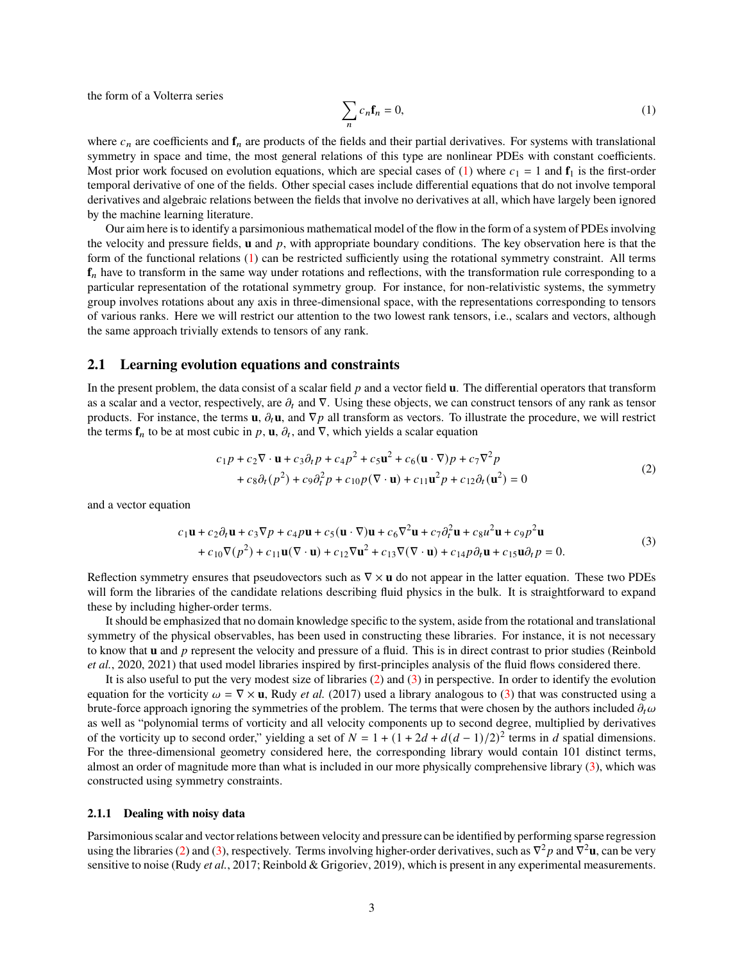the form of a Volterra series

<span id="page-2-0"></span>
$$
\sum_{n} c_n \mathbf{f}_n = 0,\tag{1}
$$

where  $c_n$  are coefficients and  $\mathbf{f}_n$  are products of the fields and their partial derivatives. For systems with translational symmetry in space and time, the most general relations of this type are nonlinear PDEs with constant coefficients. Most prior work focused on evolution equations, which are special cases of [\(1\)](#page-2-0) where  $c_1 = 1$  and  $f_1$  is the first-order temporal derivative of one of the fields. Other special cases include differential equations that do not involve temporal derivatives and algebraic relations between the fields that involve no derivatives at all, which have largely been ignored by the machine learning literature.

Our aim here is to identify a parsimonious mathematical model of the flow in the form of a system of PDEs involving the velocity and pressure fields, **u** and  $p$ , with appropriate boundary conditions. The key observation here is that the form of the functional relations [\(1\)](#page-2-0) can be restricted sufficiently using the rotational symmetry constraint. All terms **f**<sub>n</sub> have to transform in the same way under rotations and reflections, with the transformation rule corresponding to a particular representation of the rotational symmetry group. For instance, for non-relativistic systems, the symmetry group involves rotations about any axis in three-dimensional space, with the representations corresponding to tensors of various ranks. Here we will restrict our attention to the two lowest rank tensors, i.e., scalars and vectors, although the same approach trivially extends to tensors of any rank.

#### **2.1 Learning evolution equations and constraints**

In the present problem, the data consist of a scalar field  $p$  and a vector field  $\bf{u}$ . The differential operators that transform as a scalar and a vector, respectively, are  $\partial_t$  and  $\nabla$ . Using these objects, we can construct tensors of any rank as tensor products. For instance, the terms **u**,  $\partial_t$ **u**, and  $\nabla p$  all transform as vectors. To illustrate the procedure, we will restrict the terms  $f_n$  to be at most cubic in p, **u**,  $\partial_t$ , and  $\nabla$ , which yields a scalar equation

<span id="page-2-1"></span>
$$
c_1p + c_2 \nabla \cdot \mathbf{u} + c_3 \partial_t p + c_4 p^2 + c_5 \mathbf{u}^2 + c_6 (\mathbf{u} \cdot \nabla) p + c_7 \nabla^2 p + c_8 \partial_t (p^2) + c_9 \partial_t^2 p + c_{10} p (\nabla \cdot \mathbf{u}) + c_{11} \mathbf{u}^2 p + c_{12} \partial_t (\mathbf{u}^2) = 0
$$
\n(2)

and a vector equation

<span id="page-2-2"></span>
$$
c_1 \mathbf{u} + c_2 \partial_t \mathbf{u} + c_3 \nabla p + c_4 p \mathbf{u} + c_5 (\mathbf{u} \cdot \nabla) \mathbf{u} + c_6 \nabla^2 \mathbf{u} + c_7 \partial_t^2 \mathbf{u} + c_8 u^2 \mathbf{u} + c_9 p^2 \mathbf{u}
$$
  
+ 
$$
c_{10} \nabla (p^2) + c_{11} \mathbf{u} (\nabla \cdot \mathbf{u}) + c_{12} \nabla \mathbf{u}^2 + c_{13} \nabla (\nabla \cdot \mathbf{u}) + c_{14} p \partial_t \mathbf{u} + c_{15} \mathbf{u} \partial_t p = 0.
$$
 (3)

Reflection symmetry ensures that pseudovectors such as ∇ × **u** do not appear in the latter equation. These two PDEs will form the libraries of the candidate relations describing fluid physics in the bulk. It is straightforward to expand these by including higher-order terms.

It should be emphasized that no domain knowledge specific to the system, aside from the rotational and translational symmetry of the physical observables, has been used in constructing these libraries. For instance, it is not necessary to know that **u** and p represent the velocity and pressure of a fluid. This is in direct contrast to prior studies [\(Reinbold](#page-8-4) *[et al.](#page-8-4)*, [2020,](#page-8-4) [2021\)](#page-8-5) that used model libraries inspired by first-principles analysis of the fluid flows considered there.

It is also useful to put the very modest size of libraries [\(2\)](#page-2-1) and [\(3\)](#page-2-2) in perspective. In order to identify the evolution equation for the vorticity  $\omega = \nabla \times \mathbf{u}$ , Rudy *[et al.](#page-8-2)* [\(2017\)](#page-8-2) used a library analogous to [\(3\)](#page-2-2) that was constructed using a brute-force approach ignoring the symmetries of the problem. The terms that were chosen by the authors included  $\partial_t \omega$ as well as "polynomial terms of vorticity and all velocity components up to second degree, multiplied by derivatives of the vorticity up to second order," yielding a set of  $N = 1 + (1 + 2d + d(d-1)/2)^2$  terms in d spatial dimensions. For the three-dimensional geometry considered here, the corresponding library would contain 101 distinct terms, almost an order of magnitude more than what is included in our more physically comprehensive library [\(3\)](#page-2-2), which was constructed using symmetry constraints.

#### **2.1.1 Dealing with noisy data**

Parsimonious scalar and vector relations between velocity and pressure can be identified by performing sparse regression using the libraries [\(2\)](#page-2-1) and [\(3\)](#page-2-2), respectively. Terms involving higher-order derivatives, such as  $\nabla^2 p$  and  $\nabla^2 \mathbf{u}$ , can be very sensitive to noise (Rudy *[et al.](#page-8-2)*, [2017;](#page-8-2) [Reinbold & Grigoriev,](#page-8-10) [2019\)](#page-8-10), which is present in any experimental measurements.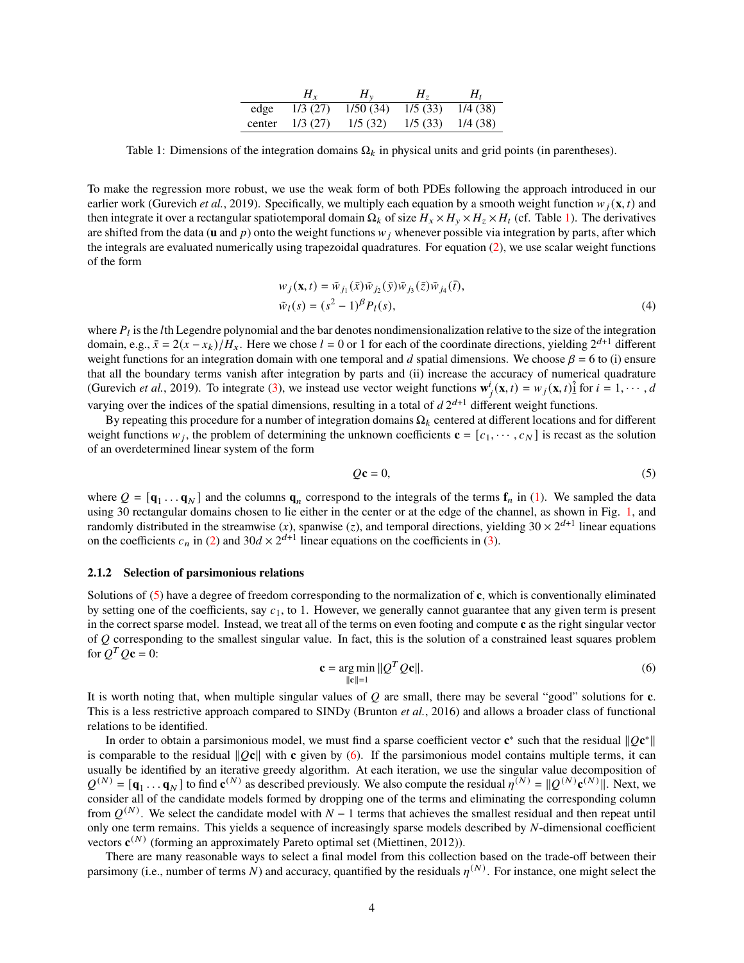|        | $H_{r}$ | $H_v$    | $H_{\tau}$ | $H_{t}$ |
|--------|---------|----------|------------|---------|
| edge   | 1/3(27) | 1/50(34) | 1/5(33)    | 1/4(38) |
| center | 1/3(27) | 1/5(32)  | 1/5(33)    | 1/4(38) |

<span id="page-3-0"></span>Table 1: Dimensions of the integration domains  $\Omega_k$  in physical units and grid points (in parentheses).

To make the regression more robust, we use the weak form of both PDEs following the approach introduced in our earlier work [\(Gurevich](#page-7-5) *et al.*, [2019\)](#page-7-5). Specifically, we multiply each equation by a smooth weight function  $w_i(\mathbf{x}, t)$  and then integrate it over a rectangular spatiotemporal domain  $\Omega_k$  of size  $H_x \times H_y \times H_z \times H_t$  (cf. Table [1\)](#page-3-0). The derivatives are shifted from the data ( $\bf{u}$  and  $\bf{p}$ ) onto the weight functions  $w_i$  whenever possible via integration by parts, after which the integrals are evaluated numerically using trapezoidal quadratures. For equation [\(2\)](#page-2-1), we use scalar weight functions of the form

$$
w_j(\mathbf{x}, t) = \tilde{w}_{j_1}(\bar{x}) \tilde{w}_{j_2}(\bar{y}) \tilde{w}_{j_3}(\bar{z}) \tilde{w}_{j_4}(\bar{t}),
$$
  
\n
$$
\tilde{w}_l(s) = (s^2 - 1)^\beta P_l(s),
$$
\n(4)

where  $P_l$  is the *l*th Legendre polynomial and the bar denotes nondimensionalization relative to the size of the integration domain, e.g.,  $\bar{x} = 2(x - x_k)/H_x$ . Here we chose  $l = 0$  or 1 for each of the coordinate directions, yielding  $2^{d+1}$  different weight functions for an integration domain with one temporal and d spatial dimensions. We choose  $\beta = 6$  to (i) ensure that all the boundary terms vanish after integration by parts and (ii) increase the accuracy of numerical quadrature [\(Gurevich](#page-7-5) *et al.*, [2019\)](#page-7-5). To integrate [\(3\)](#page-2-2), we instead use vector weight functions  $\mathbf{w}_j^i(\mathbf{x}, t) = w_j(\mathbf{x}, t)$  for  $i = 1, \dots, d$ varying over the indices of the spatial dimensions, resulting in a total of  $d2^{d+1}$  different weight functions.

By repeating this procedure for a number of integration domains  $\Omega_k$  centered at different locations and for different weight functions  $w_j$ , the problem of determining the unknown coefficients  $\mathbf{c} = [c_1, \dots, c_N]$  is recast as the solution of an overdetermined linear system of the form

<span id="page-3-1"></span>
$$
Q\mathbf{c} = 0,\tag{5}
$$

where  $Q = [\mathbf{q}_1 \dots \mathbf{q}_N]$  and the columns  $\mathbf{q}_n$  correspond to the integrals of the terms  $\mathbf{f}_n$  in [\(1\)](#page-2-0). We sampled the data using 30 rectangular domains chosen to lie either in the center or at the edge of the channel, as shown in Fig. [1,](#page-1-0) and randomly distributed in the streamwise (x), spanwise (z), and temporal directions, yielding  $30 \times 2^{d+1}$  linear equations on the coefficients  $c_n$  in [\(2\)](#page-2-1) and 30 $d \times 2^{d+1}$  linear equations on the coefficients in [\(3\)](#page-2-2).

#### **2.1.2 Selection of parsimonious relations**

Solutions of [\(5\)](#page-3-1) have a degree of freedom corresponding to the normalization of **c**, which is conventionally eliminated by setting one of the coefficients, say  $c_1$ , to 1. However, we generally cannot guarantee that any given term is present in the correct sparse model. Instead, we treat all of the terms on even footing and compute **c** as the right singular vector of  $Q$  corresponding to the smallest singular value. In fact, this is the solution of a constrained least squares problem for  $Q^T Q \mathbf{c} = 0$ :

<span id="page-3-2"></span>
$$
\mathbf{c} = \underset{\|\mathbf{c}\| = 1}{\arg \min} \|\mathcal{Q}^T \mathcal{Q} \mathbf{c}\|.\tag{6}
$$

It is worth noting that, when multiple singular values of  $Q$  are small, there may be several "good" solutions for  $c$ . This is a less restrictive approach compared to SINDy [\(Brunton](#page-7-6) *et al.*, [2016\)](#page-7-6) and allows a broader class of functional relations to be identified.

In order to obtain a parsimonious model, we must find a sparse coefficient vector  $\mathbf{c}^*$  such that the residual  $\|\mathcal{Q}\mathbf{c}^*\|$ is comparable to the residual  $\|Qc\|$  with **c** given by [\(6\)](#page-3-2). If the parsimonious model contains multiple terms, it can usually be identified by an iterative greedy algorithm. At each iteration, we use the singular value decomposition of  $Q^{(N)} = [\mathbf{q}_1 \dots \mathbf{q}_N]$  to find  $\mathbf{c}^{(N)}$  as described previously. We also compute the residual  $\eta^{(N)} = ||Q^{(N)}\mathbf{c}^{(N)}||$ . Next, we consider all of the candidate models formed by dropping one of the terms and eliminating the corresponding column from  $Q^{(N)}$ . We select the candidate model with  $N-1$  terms that achieves the smallest residual and then repeat until only one term remains. This yields a sequence of increasingly sparse models described by  $N$ -dimensional coefficient vectors  $\mathbf{c}^{(N)}$  (forming an approximately Pareto optimal set [\(Miettinen,](#page-7-7) [2012\)](#page-7-7)).

There are many reasonable ways to select a final model from this collection based on the trade-off between their parsimony (i.e., number of terms N) and accuracy, quantified by the residuals  $n^{(N)}$ . For instance, one might select the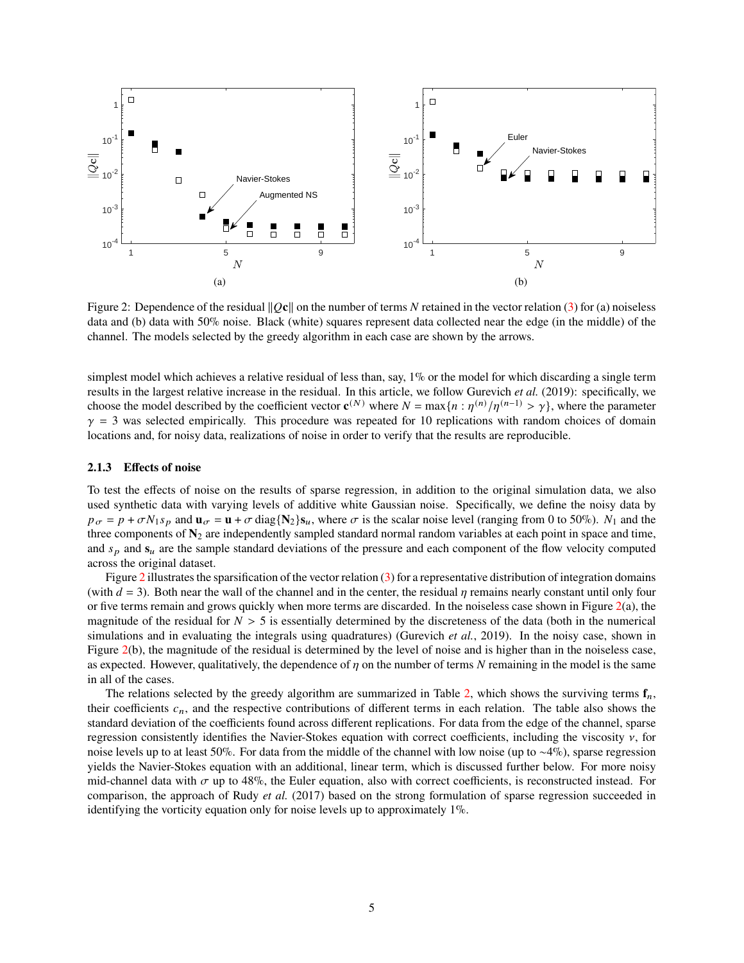<span id="page-4-0"></span>

Figure 2: Dependence of the residual  $\Vert Qc \Vert$  on the number of terms N retained in the vector relation [\(3\)](#page-2-2) for (a) noiseless data and (b) data with 50% noise. Black (white) squares represent data collected near the edge (in the middle) of the channel. The models selected by the greedy algorithm in each case are shown by the arrows.

simplest model which achieves a relative residual of less than, say, 1% or the model for which discarding a single term results in the largest relative increase in the residual. In this article, we follow [Gurevich](#page-7-5) *et al.* [\(2019\)](#page-7-5): specifically, we choose the model described by the coefficient vector  $\mathbf{c}^{(N)}$  where  $N = \max\{n : \eta^{(n)}/\eta^{(n-1)} > \gamma\}$ , where the parameter  $\gamma = 3$  was selected empirically. This procedure was repeated for 10 replications with random choices of domain locations and, for noisy data, realizations of noise in order to verify that the results are reproducible.

#### **2.1.3 Effects of noise**

To test the effects of noise on the results of sparse regression, in addition to the original simulation data, we also used synthetic data with varying levels of additive white Gaussian noise. Specifically, we define the noisy data by  $p_{\sigma} = p + \sigma N_1 s_p$  and  $\mathbf{u}_{\sigma} = \mathbf{u} + \sigma \text{diag}\{\mathbf{N}_2\} s_u$ , where  $\sigma$  is the scalar noise level (ranging from 0 to 50%).  $N_1$  and the three components of  $N_2$  are independently sampled standard normal random variables at each point in space and time, and  $s<sub>p</sub>$  and  $s<sub>u</sub>$  are the sample standard deviations of the pressure and each component of the flow velocity computed across the original dataset.

Figure [2](#page-4-0) illustrates the sparsification of the vector relation [\(3\)](#page-2-2) for a representative distribution of integration domains (with  $d = 3$ ). Both near the wall of the channel and in the center, the residual  $\eta$  remains nearly constant until only four or five terms remain and grows quickly when more terms are discarded. In the noiseless case shown in Figure  $2(a)$  $2(a)$ , the magnitude of the residual for  $N > 5$  is essentially determined by the discreteness of the data (both in the numerical simulations and in evaluating the integrals using quadratures) [\(Gurevich](#page-7-5) *et al.*, [2019\)](#page-7-5). In the noisy case, shown in Figure [2\(](#page-4-0)b), the magnitude of the residual is determined by the level of noise and is higher than in the noiseless case, as expected. However, qualitatively, the dependence of  $\eta$  on the number of terms N remaining in the model is the same in all of the cases.

The relations selected by the greedy algorithm are summarized in Table [2,](#page-5-0) which shows the surviving terms  $f_n$ , their coefficients  $c_n$ , and the respective contributions of different terms in each relation. The table also shows the standard deviation of the coefficients found across different replications. For data from the edge of the channel, sparse regression consistently identifies the Navier-Stokes equation with correct coefficients, including the viscosity  $\nu$ , for noise levels up to at least 50%. For data from the middle of the channel with low noise (up to ∼4%), sparse regression yields the Navier-Stokes equation with an additional, linear term, which is discussed further below. For more noisy mid-channel data with  $\sigma$  up to 48%, the Euler equation, also with correct coefficients, is reconstructed instead. For comparison, the approach of Rudy *[et al.](#page-8-2)* [\(2017\)](#page-8-2) based on the strong formulation of sparse regression succeeded in identifying the vorticity equation only for noise levels up to approximately 1%.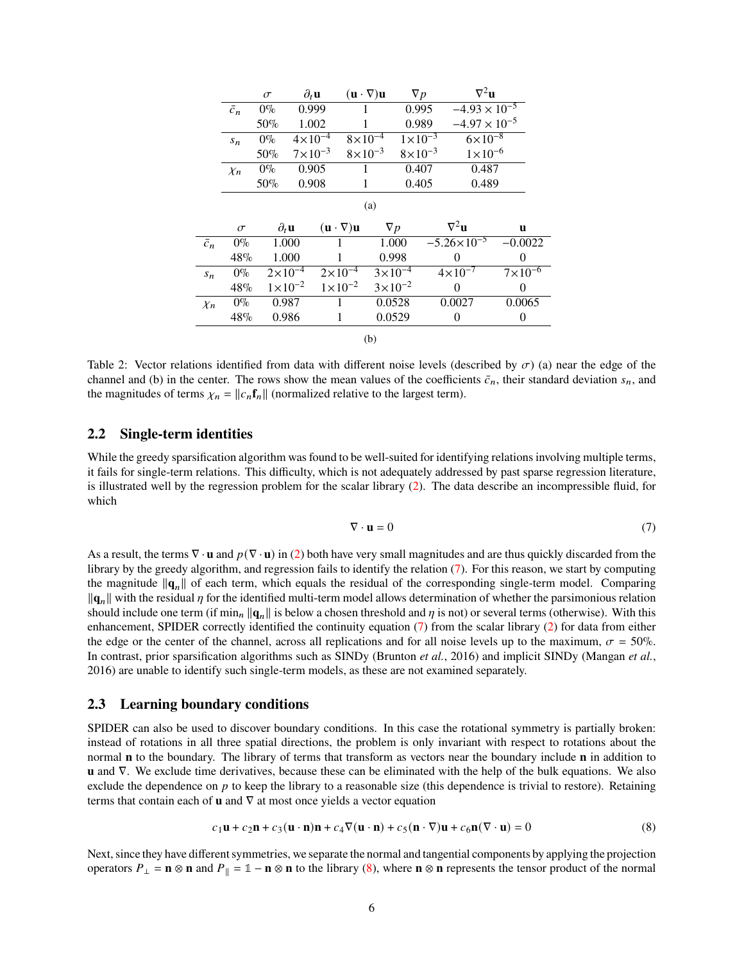<span id="page-5-0"></span>

|             | $\sigma$ | $\partial_t$ u     | $(\mathbf{u} \cdot \nabla) \mathbf{u}$ | Vр                 | $\nabla^2$ u           |
|-------------|----------|--------------------|----------------------------------------|--------------------|------------------------|
| $\bar{c}_n$ | $0\%$    | 0.999              |                                        | 0.995              | $-4.93 \times 10^{-5}$ |
|             | 50%      | 1.002              |                                        | 0.989              | $-4.97 \times 10^{-5}$ |
| $S_n$       | $0\%$    | $4 \times 10^{-4}$ | $8\times10^{-4}$                       | $1 \times 10^{-3}$ | $6\times10^{-8}$       |
|             | 50%      | $7 \times 10^{-3}$ | $8\times10^{-3}$                       | $8 \times 10^{-3}$ | $1 \times 10^{-6}$     |
| $X_n$       | $0\%$    | 0.905              |                                        | 0.407              | 0.487                  |
|             | 50%      | 0.908              |                                        | 0.405              | 0.489                  |

(a)

|             | $\sigma$ | $\partial_t \mathbf{u}$ | $(\mathbf{u} \cdot \nabla) \mathbf{u}$ | $\nabla p$         | $\nabla^2$ u         | u                  |
|-------------|----------|-------------------------|----------------------------------------|--------------------|----------------------|--------------------|
| $\bar{c}_n$ | $0\%$    | 1.000                   |                                        | 1.000              | $-5.26\times10^{-5}$ | $-0.0022$          |
|             | 48%      | 1.000                   |                                        | 0.998              |                      |                    |
| $S_n$       | $0\%$    | $2 \times 10^{-4}$      | $2 \times 10^{-4}$                     | $3\times10^{-4}$   | $4 \times 10^{-7}$   | $7 \times 10^{-6}$ |
|             | 48%      | $1 \times 10^{-2}$      | $1 \times 10^{-2}$                     | $3 \times 10^{-2}$ |                      |                    |
| $\chi_n$    | $0\%$    | 0.987                   |                                        | 0.0528             | 0.0027               | 0.0065             |
|             | 48%      | 0.986                   |                                        | 0.0529             |                      | $\theta$           |
|             |          |                         |                                        |                    |                      |                    |

(b)

Table 2: Vector relations identified from data with different noise levels (described by  $\sigma$ ) (a) near the edge of the channel and (b) in the center. The rows show the mean values of the coefficients  $\bar{c}_n$ , their standard deviation  $s_n$ , and the magnitudes of terms  $\chi_n = ||c_n \mathbf{f}_n||$  (normalized relative to the largest term).

### **2.2 Single-term identities**

While the greedy sparsification algorithm was found to be well-suited for identifying relations involving multiple terms, it fails for single-term relations. This difficulty, which is not adequately addressed by past sparse regression literature, is illustrated well by the regression problem for the scalar library [\(2\)](#page-2-1). The data describe an incompressible fluid, for which

<span id="page-5-2"></span><span id="page-5-1"></span>
$$
\nabla \cdot \mathbf{u} = 0 \tag{7}
$$

As a result, the terms  $\nabla \cdot \mathbf{u}$  and  $p(\nabla \cdot \mathbf{u})$  in [\(2\)](#page-2-1) both have very small magnitudes and are thus quickly discarded from the library by the greedy algorithm, and regression fails to identify the relation [\(7\)](#page-5-1). For this reason, we start by computing the magnitude  $\|\mathbf{q}_n\|$  of each term, which equals the residual of the corresponding single-term model. Comparing  $\|\mathbf{q}_n\|$  with the residual  $\eta$  for the identified multi-term model allows determination of whether the parsimonious relation should include one term (if min<sub>n</sub>  $\|\mathbf{q}_n\|$  is below a chosen threshold and  $\eta$  is not) or several terms (otherwise). With this enhancement, SPIDER correctly identified the continuity equation [\(7\)](#page-5-1) from the scalar library [\(2\)](#page-2-1) for data from either the edge or the center of the channel, across all replications and for all noise levels up to the maximum,  $\sigma = 50\%$ . In contrast, prior sparsification algorithms such as SINDy [\(Brunton](#page-7-6) *et al.*, [2016\)](#page-7-6) and implicit SINDy [\(Mangan](#page-7-8) *et al.*, [2016\)](#page-7-8) are unable to identify such single-term models, as these are not examined separately.

#### **2.3 Learning boundary conditions**

SPIDER can also be used to discover boundary conditions. In this case the rotational symmetry is partially broken: instead of rotations in all three spatial directions, the problem is only invariant with respect to rotations about the normal **n** to the boundary. The library of terms that transform as vectors near the boundary include **n** in addition to **u** and ∇. We exclude time derivatives, because these can be eliminated with the help of the bulk equations. We also exclude the dependence on  $p$  to keep the library to a reasonable size (this dependence is trivial to restore). Retaining terms that contain each of **u** and  $\nabla$  at most once yields a vector equation

$$
c_1\mathbf{u} + c_2\mathbf{n} + c_3(\mathbf{u} \cdot \mathbf{n})\mathbf{n} + c_4\nabla(\mathbf{u} \cdot \mathbf{n}) + c_5(\mathbf{n} \cdot \nabla)\mathbf{u} + c_6\mathbf{n}(\nabla \cdot \mathbf{u}) = 0
$$
 (8)

Next, since they have different symmetries, we separate the normal and tangential components by applying the projection operators  $P_{\perp} = \mathbf{n} \otimes \mathbf{n}$  and  $P_{\parallel} = \mathbf{1} - \mathbf{n} \otimes \mathbf{n}$  to the library [\(8\)](#page-5-2), where  $\mathbf{n} \otimes \mathbf{n}$  represents the tensor product of the normal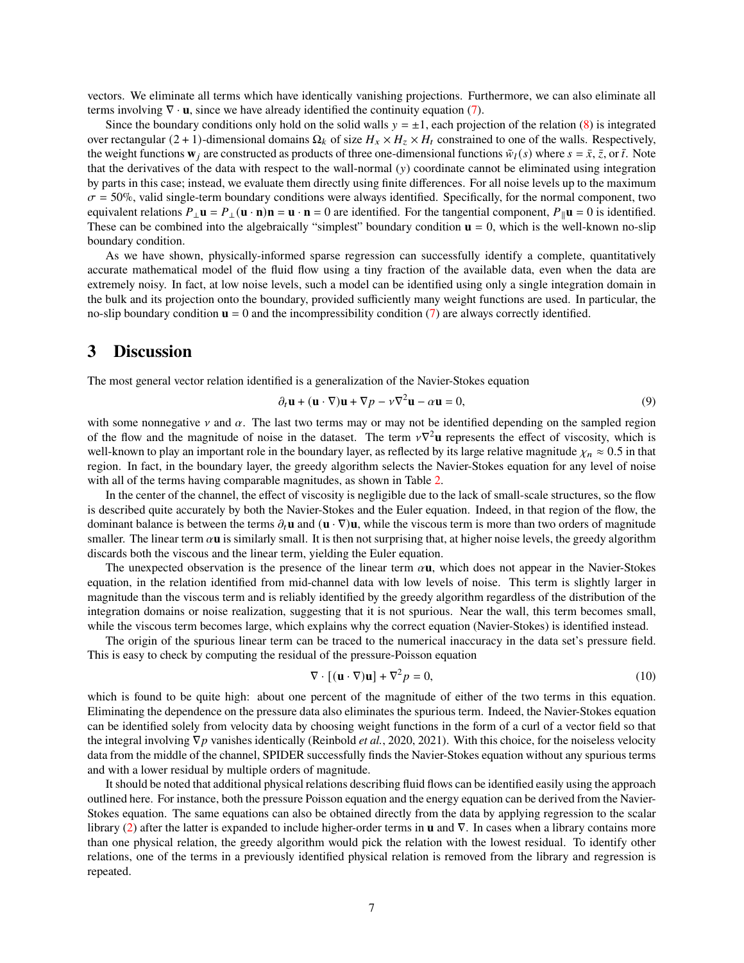vectors. We eliminate all terms which have identically vanishing projections. Furthermore, we can also eliminate all terms involving  $\nabla \cdot \mathbf{u}$ , since we have already identified the continuity equation [\(7\)](#page-5-1).

Since the boundary conditions only hold on the solid walls  $y = \pm 1$ , each projection of the relation [\(8\)](#page-5-2) is integrated over rectangular (2 + 1)-dimensional domains  $\Omega_k$  of size  $H_x \times H_z \times H_t$  constrained to one of the walls. Respectively, the weight functions  $\mathbf{w}_i$  are constructed as products of three one-dimensional functions  $\tilde{w}_l(s)$  where  $s = \bar{x}, \bar{z}$ , or  $\bar{t}$ . Note that the derivatives of the data with respect to the wall-normal  $(y)$  coordinate cannot be eliminated using integration by parts in this case; instead, we evaluate them directly using finite differences. For all noise levels up to the maximum  $\sigma$  = 50%, valid single-term boundary conditions were always identified. Specifically, for the normal component, two equivalent relations  $P_{\perp} \mathbf{u} = P_{\perp} (\mathbf{u} \cdot \mathbf{n}) \mathbf{n} = \mathbf{u} \cdot \mathbf{n} = 0$  are identified. For the tangential component,  $P_{\parallel} \mathbf{u} = 0$  is identified. These can be combined into the algebraically "simplest" boundary condition  $\mathbf{u} = 0$ , which is the well-known no-slip boundary condition.

As we have shown, physically-informed sparse regression can successfully identify a complete, quantitatively accurate mathematical model of the fluid flow using a tiny fraction of the available data, even when the data are extremely noisy. In fact, at low noise levels, such a model can be identified using only a single integration domain in the bulk and its projection onto the boundary, provided sufficiently many weight functions are used. In particular, the no-slip boundary condition  $\mathbf{u} = 0$  and the incompressibility condition [\(7\)](#page-5-1) are always correctly identified.

# **3 Discussion**

The most general vector relation identified is a generalization of the Navier-Stokes equation

$$
\partial_t \mathbf{u} + (\mathbf{u} \cdot \nabla) \mathbf{u} + \nabla p - \nu \nabla^2 \mathbf{u} - \alpha \mathbf{u} = 0, \tag{9}
$$

with some nonnegative  $\nu$  and  $\alpha$ . The last two terms may or may not be identified depending on the sampled region of the flow and the magnitude of noise in the dataset. The term  $v\nabla^2$ **u** represents the effect of viscosity, which is well-known to play an important role in the boundary layer, as reflected by its large relative magnitude  $\chi_n \approx 0.5$  in that region. In fact, in the boundary layer, the greedy algorithm selects the Navier-Stokes equation for any level of noise with all of the terms having comparable magnitudes, as shown in Table [2.](#page-5-0)

In the center of the channel, the effect of viscosity is negligible due to the lack of small-scale structures, so the flow is described quite accurately by both the Navier-Stokes and the Euler equation. Indeed, in that region of the flow, the dominant balance is between the terms  $\partial_t \mathbf{u}$  and  $(\mathbf{u} \cdot \nabla) \mathbf{u}$ , while the viscous term is more than two orders of magnitude smaller. The linear term  $\alpha$ **u** is similarly small. It is then not surprising that, at higher noise levels, the greedy algorithm discards both the viscous and the linear term, yielding the Euler equation.

The unexpected observation is the presence of the linear term  $\alpha$ **u**, which does not appear in the Navier-Stokes equation, in the relation identified from mid-channel data with low levels of noise. This term is slightly larger in magnitude than the viscous term and is reliably identified by the greedy algorithm regardless of the distribution of the integration domains or noise realization, suggesting that it is not spurious. Near the wall, this term becomes small, while the viscous term becomes large, which explains why the correct equation (Navier-Stokes) is identified instead.

The origin of the spurious linear term can be traced to the numerical inaccuracy in the data set's pressure field. This is easy to check by computing the residual of the pressure-Poisson equation

$$
\nabla \cdot [(\mathbf{u} \cdot \nabla)\mathbf{u}] + \nabla^2 p = 0,
$$
\n(10)

which is found to be quite high: about one percent of the magnitude of either of the two terms in this equation. Eliminating the dependence on the pressure data also eliminates the spurious term. Indeed, the Navier-Stokes equation can be identified solely from velocity data by choosing weight functions in the form of a curl of a vector field so that the integral involving  $∇p$  vanishes identically [\(Reinbold](#page-8-4) *et al.*, [2020,](#page-8-4) [2021\)](#page-8-5). With this choice, for the noiseless velocity data from the middle of the channel, SPIDER successfully finds the Navier-Stokes equation without any spurious terms and with a lower residual by multiple orders of magnitude.

It should be noted that additional physical relations describing fluid flows can be identified easily using the approach outlined here. For instance, both the pressure Poisson equation and the energy equation can be derived from the Navier-Stokes equation. The same equations can also be obtained directly from the data by applying regression to the scalar library [\(2\)](#page-2-1) after the latter is expanded to include higher-order terms in **u** and ∇. In cases when a library contains more than one physical relation, the greedy algorithm would pick the relation with the lowest residual. To identify other relations, one of the terms in a previously identified physical relation is removed from the library and regression is repeated.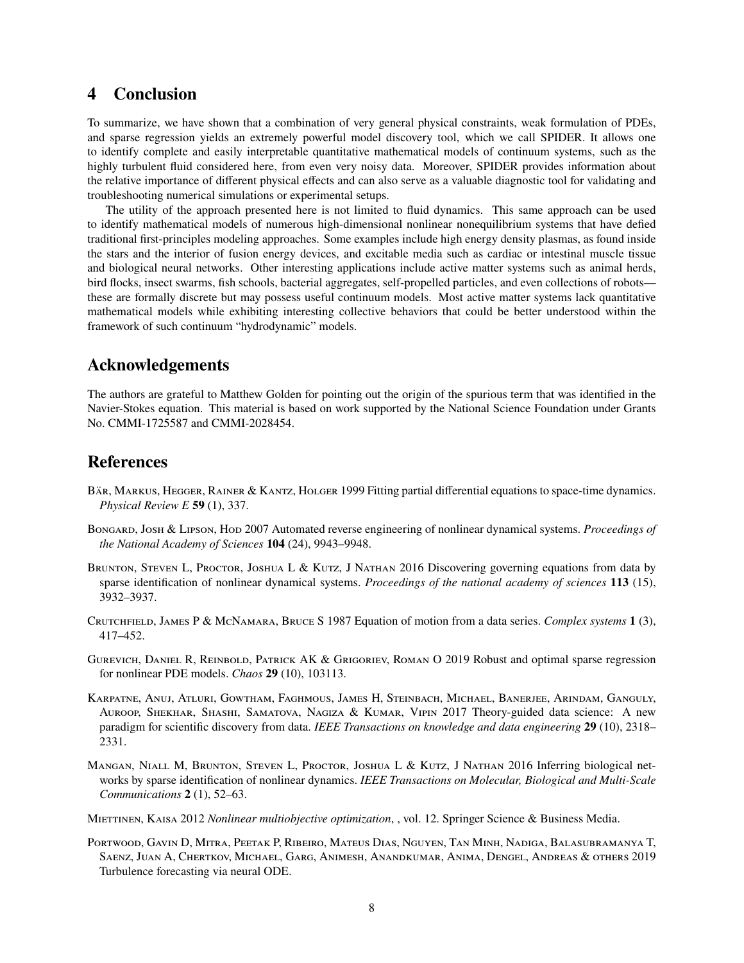# **4 Conclusion**

To summarize, we have shown that a combination of very general physical constraints, weak formulation of PDEs, and sparse regression yields an extremely powerful model discovery tool, which we call SPIDER. It allows one to identify complete and easily interpretable quantitative mathematical models of continuum systems, such as the highly turbulent fluid considered here, from even very noisy data. Moreover, SPIDER provides information about the relative importance of different physical effects and can also serve as a valuable diagnostic tool for validating and troubleshooting numerical simulations or experimental setups.

The utility of the approach presented here is not limited to fluid dynamics. This same approach can be used to identify mathematical models of numerous high-dimensional nonlinear nonequilibrium systems that have defied traditional first-principles modeling approaches. Some examples include high energy density plasmas, as found inside the stars and the interior of fusion energy devices, and excitable media such as cardiac or intestinal muscle tissue and biological neural networks. Other interesting applications include active matter systems such as animal herds, bird flocks, insect swarms, fish schools, bacterial aggregates, self-propelled particles, and even collections of robots these are formally discrete but may possess useful continuum models. Most active matter systems lack quantitative mathematical models while exhibiting interesting collective behaviors that could be better understood within the framework of such continuum "hydrodynamic" models.

## **Acknowledgements**

The authors are grateful to Matthew Golden for pointing out the origin of the spurious term that was identified in the Navier-Stokes equation. This material is based on work supported by the National Science Foundation under Grants No. CMMI-1725587 and CMMI-2028454.

## **References**

- <span id="page-7-3"></span>Bär, MARKUS, HEGGER, RAINER & KANTZ, HOLGER 1999 Fitting partial differential equations to space-time dynamics. *Physical Review E* **59** (1), 337.
- <span id="page-7-1"></span>Bongard, Josh & Lipson, Hod 2007 Automated reverse engineering of nonlinear dynamical systems. *Proceedings of the National Academy of Sciences* **104** (24), 9943–9948.
- <span id="page-7-6"></span>BRUNTON, STEVEN L, PROCTOR, JOSHUA L & KUTZ, J NATHAN 2016 Discovering governing equations from data by sparse identification of nonlinear dynamical systems. *Proceedings of the national academy of sciences* **113** (15), 3932–3937.
- <span id="page-7-0"></span>Crutchfield, James P & McNamara, Bruce S 1987 Equation of motion from a data series. *Complex systems* **1** (3), 417–452.
- <span id="page-7-5"></span>Gurevich, Daniel R, Reinbold, Patrick AK & Grigoriev, Roman O 2019 Robust and optimal sparse regression for nonlinear PDE models. *Chaos* **29** (10), 103113.
- <span id="page-7-2"></span>Karpatne, Anuj, Atluri, Gowtham, Faghmous, James H, Steinbach, Michael, Banerjee, Arindam, Ganguly, Auroop, Shekhar, Shashi, Samatova, Nagiza & Kumar, Vipin 2017 Theory-guided data science: A new paradigm for scientific discovery from data. *IEEE Transactions on knowledge and data engineering* **29** (10), 2318– 2331.
- <span id="page-7-8"></span>Mangan, Niall M, Brunton, Steven L, Proctor, Joshua L & Kutz, J Nathan 2016 Inferring biological networks by sparse identification of nonlinear dynamics. *IEEE Transactions on Molecular, Biological and Multi-Scale Communications* **2** (1), 52–63.
- <span id="page-7-7"></span>Miettinen, Kaisa 2012 *Nonlinear multiobjective optimization*, , vol. 12. Springer Science & Business Media.
- <span id="page-7-4"></span>Portwood, Gavin D, Mitra, Peetak P, Ribeiro, Mateus Dias, Nguyen, Tan Minh, Nadiga, Balasubramanya T, Saenz, Juan A, Chertkov, Michael, Garg, Animesh, Anandkumar, Anima, Dengel, Andreas & others 2019 Turbulence forecasting via neural ODE.